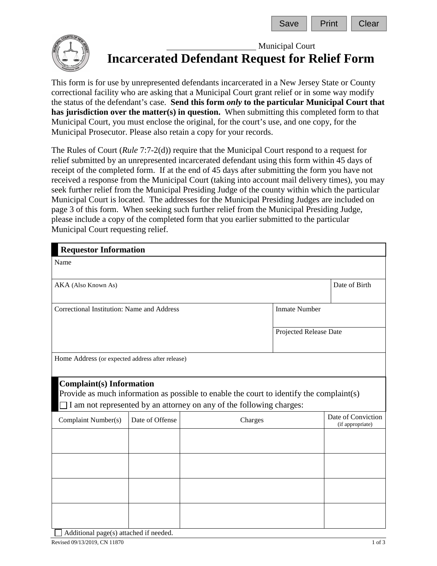

## Municipal Court **Incarcerated Defendant Request for Relief Form**

This form is for use by unrepresented defendants incarcerated in a New Jersey State or County correctional facility who are asking that a Municipal Court grant relief or in some way modify the status of the defendant's case. **Send this form** *only* **to the particular Municipal Court that has jurisdiction over the matter(s) in question.** When submitting this completed form to that Municipal Court, you must enclose the original, for the court's use, and one copy, for the Municipal Prosecutor. Please also retain a copy for your records.

The Rules of Court (*Rule* 7:7-2(d)) require that the Municipal Court respond to a request for relief submitted by an unrepresented incarcerated defendant using this form within 45 days of receipt of the completed form. If at the end of 45 days after submitting the form you have not received a response from the Municipal Court (taking into account mail delivery times), you may seek further relief from the Municipal Presiding Judge of the county within which the particular Municipal Court is located. The addresses for the Municipal Presiding Judges are included on page 3 of this form. When seeking such further relief from the Municipal Presiding Judge, please include a copy of the completed form that you earlier submitted to the particular Municipal Court requesting relief.

| <b>Requestor Information</b>                                                                                                                                                                               |                 |         |                        |                                        |  |
|------------------------------------------------------------------------------------------------------------------------------------------------------------------------------------------------------------|-----------------|---------|------------------------|----------------------------------------|--|
| Name                                                                                                                                                                                                       |                 |         |                        |                                        |  |
| AKA (Also Known As)                                                                                                                                                                                        | Date of Birth   |         |                        |                                        |  |
| <b>Inmate Number</b><br>Correctional Institution: Name and Address                                                                                                                                         |                 |         |                        |                                        |  |
|                                                                                                                                                                                                            |                 |         | Projected Release Date |                                        |  |
| Home Address (or expected address after release)                                                                                                                                                           |                 |         |                        |                                        |  |
| <b>Complaint(s)</b> Information<br>Provide as much information as possible to enable the court to identify the complaint(s)<br>$\Box$ I am not represented by an attorney on any of the following charges: |                 |         |                        |                                        |  |
| Complaint Number(s)                                                                                                                                                                                        | Date of Offense | Charges |                        | Date of Conviction<br>(if appropriate) |  |
|                                                                                                                                                                                                            |                 |         |                        |                                        |  |
|                                                                                                                                                                                                            |                 |         |                        |                                        |  |
|                                                                                                                                                                                                            |                 |         |                        |                                        |  |
|                                                                                                                                                                                                            |                 |         |                        |                                        |  |

Additional page(s) attached if needed.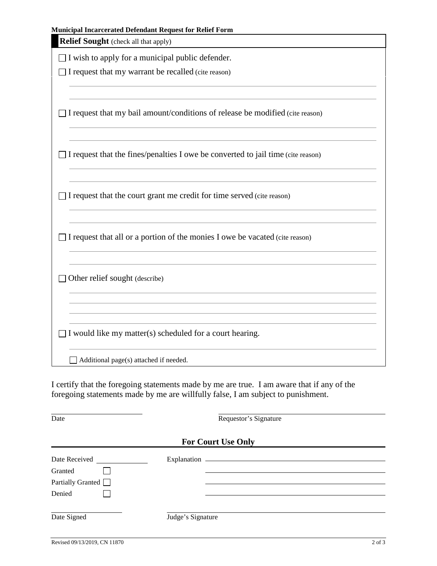| <b>Municipal Incarcerated Defendant Request for Relief Form</b><br><b>Relief Sought</b> (check all that apply) |
|----------------------------------------------------------------------------------------------------------------|
| $\Box$ I wish to apply for a municipal public defender.                                                        |
| I request that my warrant be recalled (cite reason)                                                            |
| I request that my bail amount/conditions of release be modified (cite reason)                                  |
| I request that the fines/penalties I owe be converted to jail time (cite reason)                               |
| I request that the court grant me credit for time served (cite reason)                                         |
| I request that all or a portion of the monies I owe be vacated (cite reason)                                   |
| Other relief sought (describe)                                                                                 |
| I would like my matter(s) scheduled for a court hearing.                                                       |
| Additional page(s) attached if needed.                                                                         |

| Date                                                           | Requestor's Signature |  |  |  |  |
|----------------------------------------------------------------|-----------------------|--|--|--|--|
| <b>For Court Use Only</b>                                      |                       |  |  |  |  |
| Date Received<br>Granted<br>Partially Granted $\Box$<br>Denied | Explanation           |  |  |  |  |
| Date Signed                                                    | Judge's Signature     |  |  |  |  |